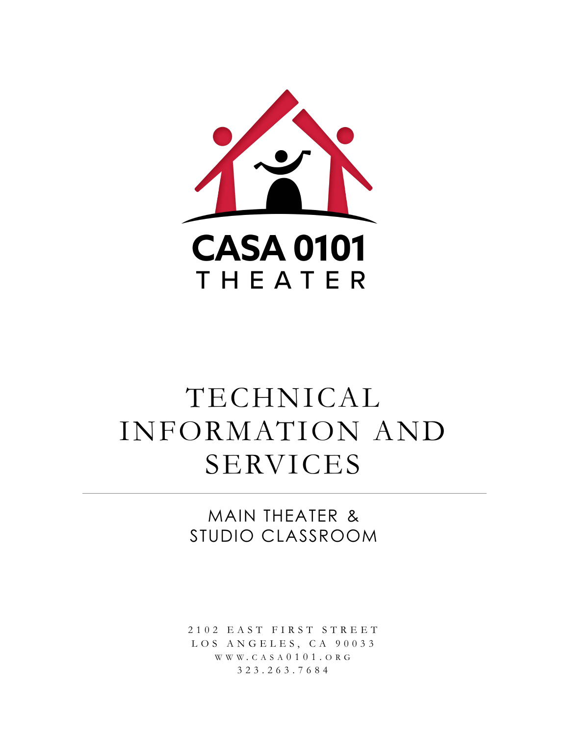

# TECHNICAL INFORMATION AND SERVICES

MAIN THEATER & STUDIO CLASSROOM

2 1 0 2 E A S T F I R S T S T R E E T L O S A N G E L E S, C A 90033 W W W . C A S A 0 1 0 1 . O R G 3 2 3 . 2 6 3 . 7 6 8 4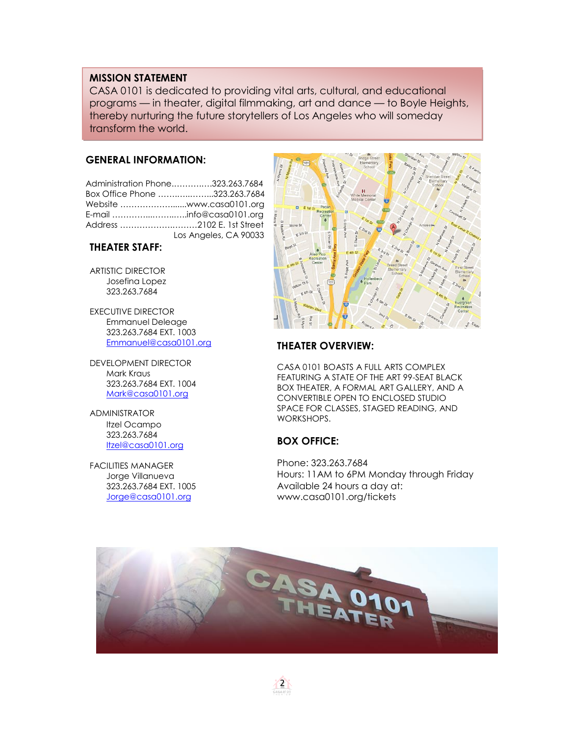#### **MISSION STATEMENT**

CASA 0101 is dedicated to providing vital arts, cultural, and educational programs — in theater, digital filmmaking, art and dance — to Boyle Heights, thereby nurturing the future storytellers of Los Angeles who will someday transform the world.

#### **GENERAL INFORMATION:**

Administration Phone.……….….323.263.7684 Box Office Phone …….…..……...323.263.7684 Website ……………….......www.casa0101.org E-mail …………...……..…..info@casa0101.org Address ……………….………2102 E. 1st Street Los Angeles, CA 90033

#### **THEATER STAFF:**

ARTISTIC DIRECTOR Josefina Lopez 323.263.7684

EXECUTIVE DIRECTOR Emmanuel Deleage 323.263.7684 EXT. 1003 [Emmanuel@casa0101.org](mailto:Emmanuel@casa0101.org)

DEVELOPMENT DIRECTOR Mark Kraus 323.263.7684 EXT. 1004 [Mark@casa0101.org](mailto:mark@casa0101.org)

ADMINISTRATOR Itzel Ocampo 323.263.7684 Itzel[@casa0101.org](mailto:sohail@casa0101.org)

FACILITIES MANAGER Jorge Villanueva 323.263.7684 EXT. 1005 Jorge[@casa0101.org](mailto:vincent@casa0101.org)



#### **THEATER OVERVIEW:**

CASA 0101 BOASTS A FULL ARTS COMPLEX FEATURING A STATE OF THE ART 99-SEAT BLACK BOX THEATER, A FORMAL ART GALLERY, AND A CONVERTIBLE OPEN TO ENCLOSED STUDIO SPACE FOR CLASSES, STAGED READING, AND WORKSHOPS.

#### **BOX OFFICE:**

Phone: 323.263.7684 Hours: 11AM to 6PM Monday through Friday Available 24 hours a day at: www.casa0101.org/tickets



2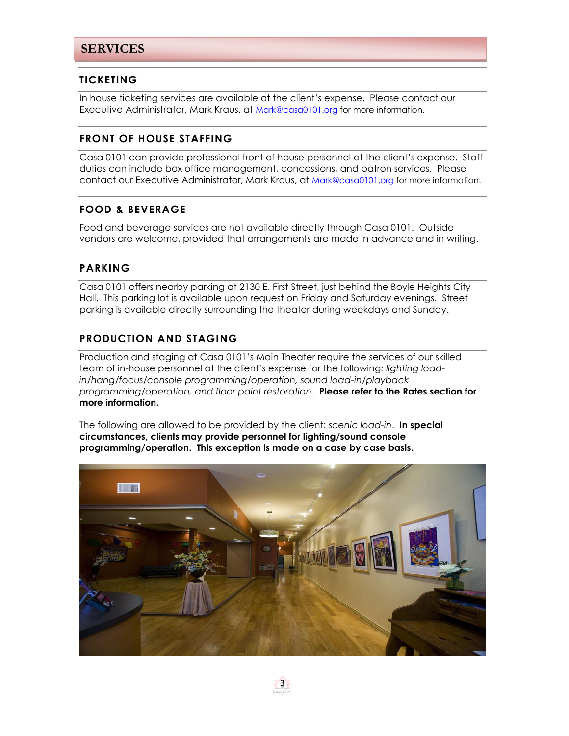#### **TICKETING**

In house ticketing services are available at the client's expense. Please contact our Executive Administrator, Mark Kraus, at [Mark@casa0101.org](mailto:mark@casa0101.org) for more information.

## **FRONT OF HOUSE STAFFING**

Casa 0101 can provide professional front of house personnel at the client's expense. Staff duties can include box office management, concessions, and patron services. Please contact our Executive Administrator, Mark Kraus, at [Mark@casa0101.org](mailto:mark@casa0101.org) for more information.

## **FOOD & BEVERAGE**

Food and beverage services are not available directly through Casa 0101. Outside vendors are welcome, provided that arrangements are made in advance and in writing.

## **PARKING**

Casa 0101 offers nearby parking at 2130 E. First Street, just behind the Boyle Heights City Hall. This parking lot is available upon request on Friday and Saturday evenings. Street parking is available directly surrounding the theater during weekdays and Sunday.

## **PRODUCTION AND STAGING**

Production and staging at Casa 0101's Main Theater require the services of our skilled team of in-house personnel at the client's expense for the following*: lighting loadin/hang/focus/console programming/operation, sound load-in/playback programming/operation, and floor paint restoration.* **Please refer to the Rates section for more information.** 

The following are allowed to be provided by the client: *scenic load-in*. **In special circumstances, clients may provide personnel for lighting/sound console programming/operation. This exception is made on a case by case basis.** 

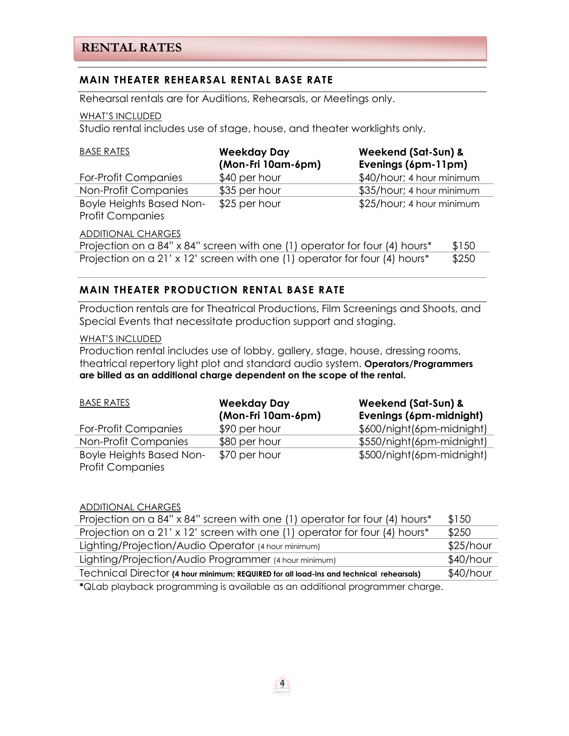## **MAIN THEATER REHEARSAL RENTAL BASE RATE**

Rehearsal rentals are for Auditions, Rehearsals, or Meetings only.

#### WHAT'S INCLUDED

Studio rental includes use of stage, house, and theater worklights only.

| <b>BASE RATES</b>                                          | <b>Weekday Day</b><br>(Mon-Fri 10am-6pm) | Weekend (Sat-Sun) &<br>Evenings (6pm-11pm) |
|------------------------------------------------------------|------------------------------------------|--------------------------------------------|
| For-Profit Companies                                       | \$40 per hour                            | \$40/hour; 4 hour minimum                  |
| Non-Profit Companies                                       | \$35 per hour                            | \$35/hour; 4 hour minimum                  |
| <b>Boyle Heights Based Non-</b><br><b>Profit Companies</b> | \$25 per hour                            | \$25/hour; 4 hour minimum                  |

#### ADDITIONAL CHARGES

Projection on a 84" x 84" screen with one (1) operator for four (4) hours\*  $$150$ Projection on a 21' x 12' screen with one (1) operator for four (4) hours\*  $$250$ 

#### **MAIN THEATER PRODUCTION RENTAL BASE RATE**

Production rentals are for Theatrical Productions, Film Screenings and Shoots, and Special Events that necessitate production support and staging.

#### WHAT'S INCLUDED

Production rental includes use of lobby, gallery, stage, house, dressing rooms, theatrical repertory light plot and standard audio system. **Operators/Programmers are billed as an additional charge dependent on the scope of the rental.**

| <b>BASE RATES</b>               | <b>Weekday Day</b> | Weekend (Sat-Sun) &       |
|---------------------------------|--------------------|---------------------------|
|                                 | (Mon-Fri 10am-6pm) | Evenings (6pm-midnight)   |
| For-Profit Companies            | \$90 per hour      | \$600/night(6pm-midnight) |
| Non-Profit Companies            | \$80 per hour      | \$550/night(6pm-midnight) |
| <b>Boyle Heights Based Non-</b> | \$70 per hour      | \$500/night(6pm-midnight) |
| <b>Profit Companies</b>         |                    |                           |

#### ADDITIONAL CHARGES

| Projection on a 84" x 84" screen with one (1) operator for four (4) hours*              | \$150       |
|-----------------------------------------------------------------------------------------|-------------|
| Projection on a 21' x 12' screen with one (1) operator for four (4) hours*              | \$250       |
| Lighting/Projection/Audio Operator (4 hour minimum)                                     | $$25/h$ our |
| Lighting/Projection/Audio Programmer (4 hour minimum)                                   | $$40/h$ our |
| Technical Director (4 hour minimum; REQUIRED for all load-ins and technical rehearsals) | $$40/h$ our |
| $*$ Olah playbaak programming is quailable as an additional programmer charge           |             |

**\***QLab playback programming is available as an additional programmer charge.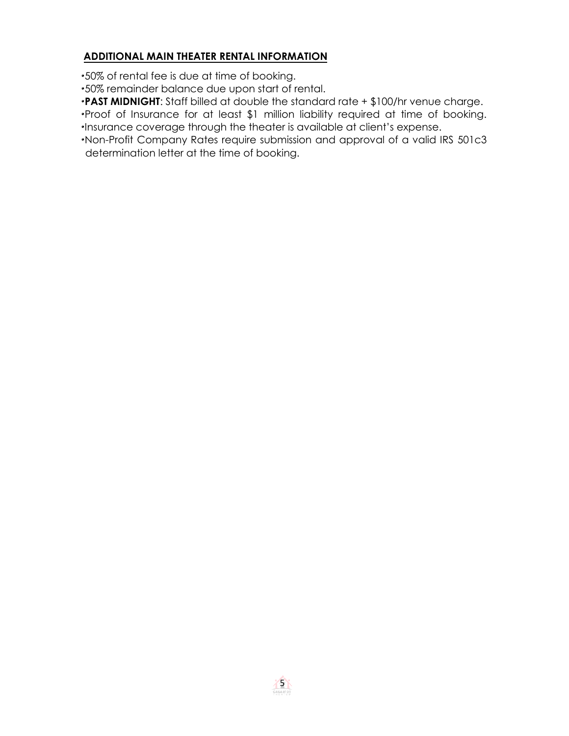## **ADDITIONAL MAIN THEATER RENTAL INFORMATION**

·50% of rental fee is due at time of booking.

·50% remainder balance due upon start of rental.

·**PAST MIDNIGHT**: Staff billed at double the standard rate + \$100/hr venue charge.

·Proof of Insurance for at least \$1 million liability required at time of booking. ·Insurance coverage through the theater is available at client's expense.

·Non-Profit Company Rates require submission and approval of a valid IRS 501c3 determination letter at the time of booking.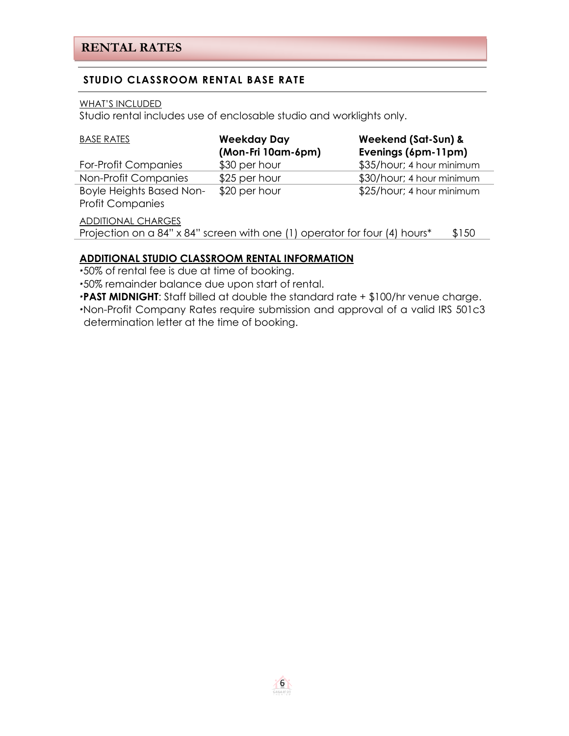## **STUDIO CLASSROOM RENTAL BASE RATE**

#### WHAT'S INCLUDED

Studio rental includes use of enclosable studio and worklights only.

| <b>BASE RATES</b>                                          | <b>Weekday Day</b><br>(Mon-Fri 10am-6pm)                                   | Weekend (Sat-Sun) &<br>Evenings (6pm-11pm) |
|------------------------------------------------------------|----------------------------------------------------------------------------|--------------------------------------------|
| For-Profit Companies                                       | \$30 per hour                                                              | \$35/hour; 4 hour minimum                  |
| Non-Profit Companies                                       | \$25 per hour                                                              | \$30/hour; 4 hour minimum                  |
| <b>Boyle Heights Based Non-</b><br><b>Profit Companies</b> | \$20 per hour                                                              | \$25/hour; 4 hour minimum                  |
| <b>ADDITIONAL CHARGES</b>                                  | Projection on a 84" x 84" screen with one (1) operator for four (4) hours* | \$150                                      |

#### **ADDITIONAL STUDIO CLASSROOM RENTAL INFORMATION**

·50% of rental fee is due at time of booking.

·50% remainder balance due upon start of rental.

·**PAST MIDNIGHT**: Staff billed at double the standard rate + \$100/hr venue charge.

·Non-Profit Company Rates require submission and approval of a valid IRS 501c3 determination letter at the time of booking.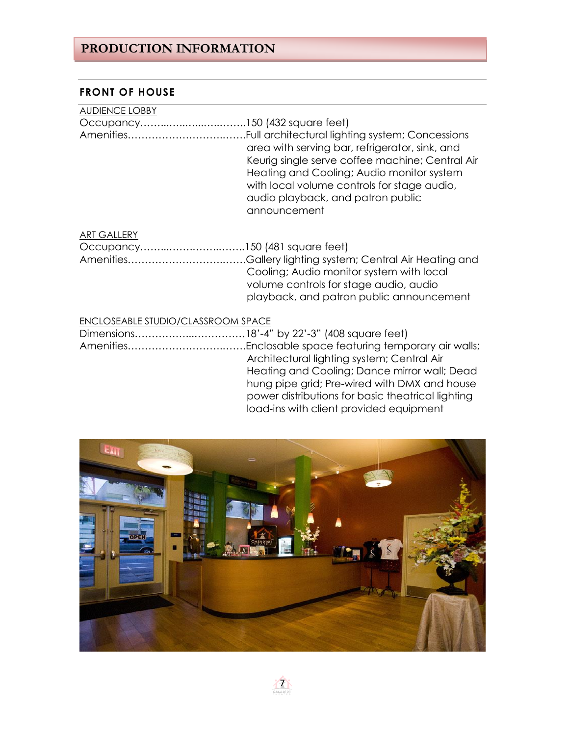## **PRODUCTION INFORMATION**

## **FRONT OF HOUSE**

| <b>AUDIENCE LOBBY</b>                   |                                                                                                                                                                                                                                                    |
|-----------------------------------------|----------------------------------------------------------------------------------------------------------------------------------------------------------------------------------------------------------------------------------------------------|
|                                         |                                                                                                                                                                                                                                                    |
|                                         | area with serving bar, refrigerator, sink, and<br>Keurig single serve coffee machine; Central Air<br>Heating and Cooling; Audio monitor system<br>with local volume controls for stage audio,<br>audio playback, and patron public<br>announcement |
| <b>ART GALLERY</b>                      |                                                                                                                                                                                                                                                    |
|                                         |                                                                                                                                                                                                                                                    |
|                                         | Cooling; Audio monitor system with local<br>volume controls for stage audio, audio<br>playback, and patron public announcement                                                                                                                     |
| <b>CLOSEABLE STUDIO/CLASSROOM SPACE</b> |                                                                                                                                                                                                                                                    |
|                                         |                                                                                                                                                                                                                                                    |

| Architectural lighting system; Central Air        |
|---------------------------------------------------|
| Heating and Cooling; Dance mirror wall; Dead      |
| hung pipe grid; Pre-wired with DMX and house      |
| power distributions for basic theatrical lighting |
| load-ins with client provided equipment           |
|                                                   |

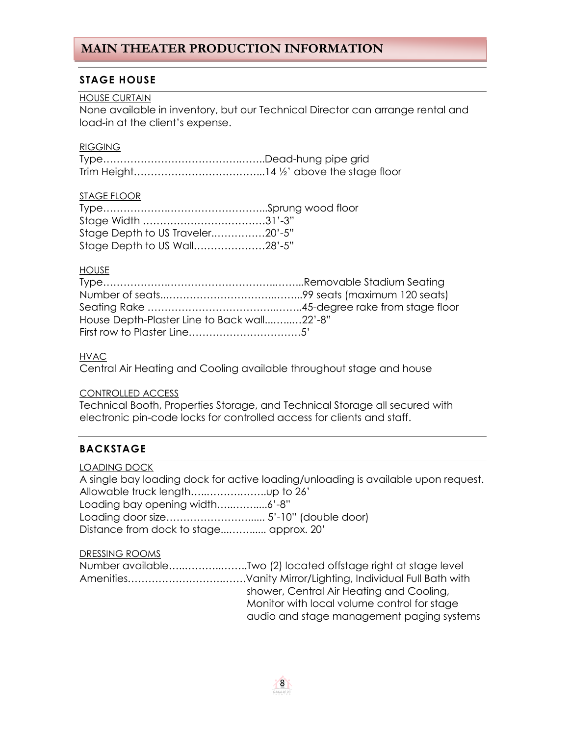### **STAGE HOUSE**

#### HOUSE CURTAIN

None available in inventory, but our Technical Director can arrange rental and load-in at the client's expense.

#### **RIGGING**

#### STAGE FLOOR

| Stage Depth to US Traveler20'-5" |  |
|----------------------------------|--|
| Stage Depth to US Wall28'-5"     |  |

#### **HOUSE**

| House Depth-Plaster Line to Back wall22'-8" |  |
|---------------------------------------------|--|
|                                             |  |

#### **HVAC**

Central Air Heating and Cooling available throughout stage and house

#### CONTROLLED ACCESS

Technical Booth, Properties Storage, and Technical Storage all secured with electronic pin-code locks for controlled access for clients and staff.

## **BACKSTAGE**

| <b>LOADING DOCK</b>                     |                                                                                   |
|-----------------------------------------|-----------------------------------------------------------------------------------|
|                                         | A single bay loading dock for active loading/unloading is available upon request. |
|                                         |                                                                                   |
| Loading bay opening width6'-8"          |                                                                                   |
|                                         |                                                                                   |
| Distance from dock to stage approx. 20' |                                                                                   |
| DDECCINIC DOOMS                         |                                                                                   |

#### DRESSING ROOMS

| Number availableTwo (2) located offstage right at stage level |
|---------------------------------------------------------------|
|                                                               |
| shower, Central Air Heating and Cooling,                      |
| Monitor with local volume control for stage                   |
| audio and stage management paging systems                     |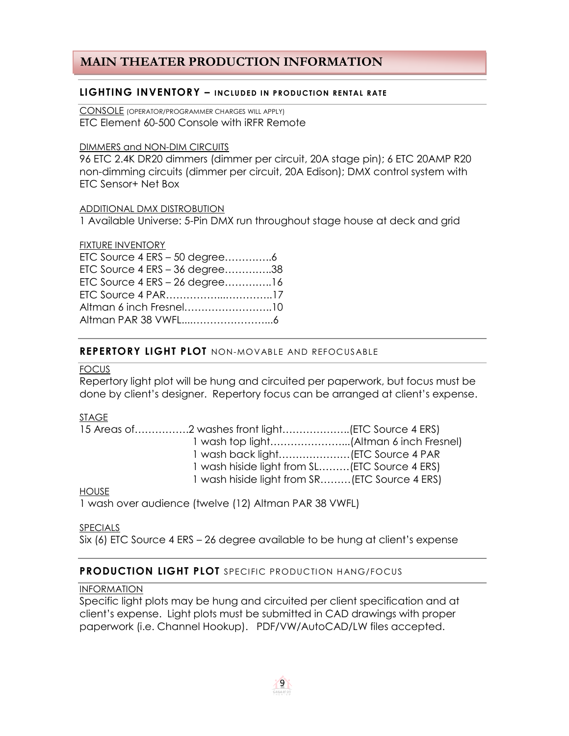#### **LIGHTING INVENTORY – INCLUDED IN PRODUCTION RENTAL RATE**

CONSOLE (OPERATOR/PROGRAMMER CHARGES WILL APPLY) ETC Element 60-500 Console with iRFR Remote

#### DIMMERS and NON-DIM CIRCUITS

96 ETC 2.4K DR20 dimmers (dimmer per circuit, 20A stage pin); 6 ETC 20AMP R20 non-dimming circuits (dimmer per circuit, 20A Edison); DMX control system with ETC Sensor+ Net Box

#### ADDITIONAL DMX DISTROBUTION

1 Available Universe: 5-Pin DMX run throughout stage house at deck and grid

#### FIXTURE INVENTORY

| ETC Source 4 ERS - 50 degree6      |  |
|------------------------------------|--|
| ETC Source 4 ERS - 36 degree38     |  |
| ETC Source $4$ ERS $-$ 26 degree16 |  |
|                                    |  |
| Altman 6 inch Fresnel10            |  |
|                                    |  |

#### **REPERTORY LIGHT PLOT** NON-MOVABLE AND REFOCUS ABLE

#### FOCUS

Repertory light plot will be hung and circuited per paperwork, but focus must be done by client's designer. Repertory focus can be arranged at client's expense.

#### STAGE

|            | 1 wash hiside light from SL (ETC Source 4 ERS) |  |
|------------|------------------------------------------------|--|
|            | 1 wash hiside light from SR(ETC Source 4 ERS)  |  |
| $\sqrt{2}$ |                                                |  |

#### HOUSE

1 wash over audience (twelve (12) Altman PAR 38 VWFL)

#### SPECIALS

Six (6) ETC Source 4 ERS – 26 degree available to be hung at client's expense

#### **PRODUCTION LIGHT PLOT** SPECIFIC PRODUCTION HANG/FOCUS

#### INFORMATION

Specific light plots may be hung and circuited per client specification and at client's expense. Light plots must be submitted in CAD drawings with proper paperwork (i.e. Channel Hookup). PDF/VW/AutoCAD/LW files accepted.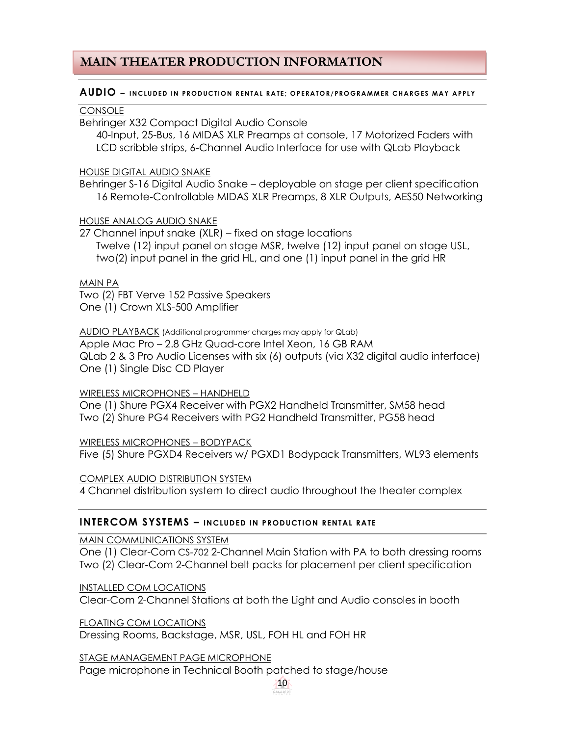#### **AUDIO** – INCLUDED IN PRODUCTION RENTAL RATE; OPERATOR/PROGRAMMER CHARGES MAY APPLY

#### **CONSOLE**

Behringer X32 Compact Digital Audio Console

40-Input, 25-Bus, 16 MIDAS XLR Preamps at console, 17 Motorized Faders with LCD scribble strips, 6-Channel Audio Interface for use with QLab Playback

#### HOUSE DIGITAL AUDIO SNAKE

Behringer S-16 Digital Audio Snake – deployable on stage per client specification 16 Remote-Controllable MIDAS XLR Preamps, 8 XLR Outputs, AES50 Networking

#### HOUSE ANALOG AUDIO SNAKE

27 Channel input snake (XLR) – fixed on stage locations Twelve (12) input panel on stage MSR, twelve (12) input panel on stage USL, two(2) input panel in the grid HL, and one (1) input panel in the grid HR

#### MAIN PA

Two (2) FBT Verve 152 Passive Speakers One (1) Crown XLS-500 Amplifier

#### AUDIO PLAYBACK (Additional programmer charges may apply for QLab)

Apple Mac Pro – 2.8 GHz Quad-core Intel Xeon, 16 GB RAM QLab 2 & 3 Pro Audio Licenses with six (6) outputs (via X32 digital audio interface) One (1) Single Disc CD Player

#### WIRELESS MICROPHONES – HANDHELD

One (1) Shure PGX4 Receiver with PGX2 Handheld Transmitter, SM58 head Two (2) Shure PG4 Receivers with PG2 Handheld Transmitter, PG58 head

WIRELESS MICROPHONES – BODYPACK

Five (5) Shure PGXD4 Receivers w/ PGXD1 Bodypack Transmitters, WL93 elements

COMPLEX AUDIO DISTRIBUTION SYSTEM 4 Channel distribution system to direct audio throughout the theater complex

#### **INTERCOM SYSTEMS – INCLUDED IN PRODUCTION RENTAL RATE**

MAIN COMMUNICATIONS SYSTEM

One (1) Clear-Com CS-702 2-Channel Main Station with PA to both dressing rooms Two (2) Clear-Com 2-Channel belt packs for placement per client specification

INSTALLED COM LOCATIONS

Clear-Com 2-Channel Stations at both the Light and Audio consoles in booth

FLOATING COM LOCATIONS

Dressing Rooms, Backstage, MSR, USL, FOH HL and FOH HR

STAGE MANAGEMENT PAGE MICROPHONE

Page microphone in Technical Booth patched to stage/house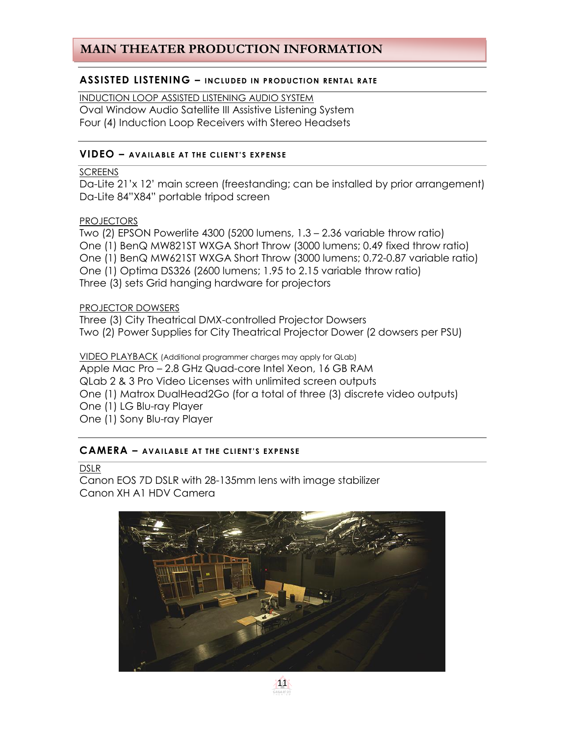#### **ASSISTED LISTENING – INCLUDED IN PRODUCTION RENTAL RATE**

INDUCTION LOOP ASSISTED LISTENING AUDIO SYSTEM Oval Window Audio Satellite III Assistive Listening System Four (4) Induction Loop Receivers with Stereo Headsets

#### **VIDEO – AVAILABLE AT THE CLIENT'S EXPENSE**

#### **SCREENS**

Da-Lite 21'x 12' main screen (freestanding; can be installed by prior arrangement) Da-Lite 84"X84" portable tripod screen

#### PROJECTORS

Two (2) EPSON Powerlite 4300 (5200 lumens, 1.3 – 2.36 variable throw ratio) One (1) BenQ MW821ST WXGA Short Throw (3000 lumens; 0.49 fixed throw ratio) One (1) BenQ MW621ST WXGA Short Throw (3000 lumens; 0.72-0.87 variable ratio) One (1) Optima DS326 (2600 lumens; 1.95 to 2.15 variable throw ratio) Three (3) sets Grid hanging hardware for projectors

#### PROJECTOR DOWSERS

Three (3) City Theatrical DMX-controlled Projector Dowsers Two (2) Power Supplies for City Theatrical Projector Dower (2 dowsers per PSU)

VIDEO PLAYBACK (Additional programmer charges may apply for QLab) Apple Mac Pro – 2.8 GHz Quad-core Intel Xeon, 16 GB RAM QLab 2 & 3 Pro Video Licenses with unlimited screen outputs One (1) Matrox DualHead2Go (for a total of three (3) discrete video outputs) One (1) LG Blu-ray Player One (1) Sony Blu-ray Player

#### **CAMERA – AVAILABLE AT THE CLI ENT'S EXPENSE**

#### DSLR

Canon EOS 7D DSLR with 28-135mm lens with image stabilizer Canon XH A1 HDV Camera



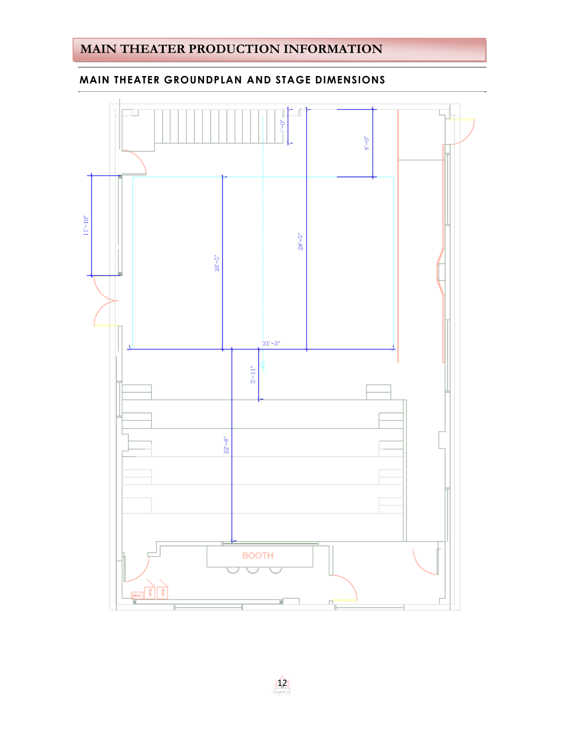## **MAIN THEATER GROUNDPLAN AND STAGE DIMENSIONS**

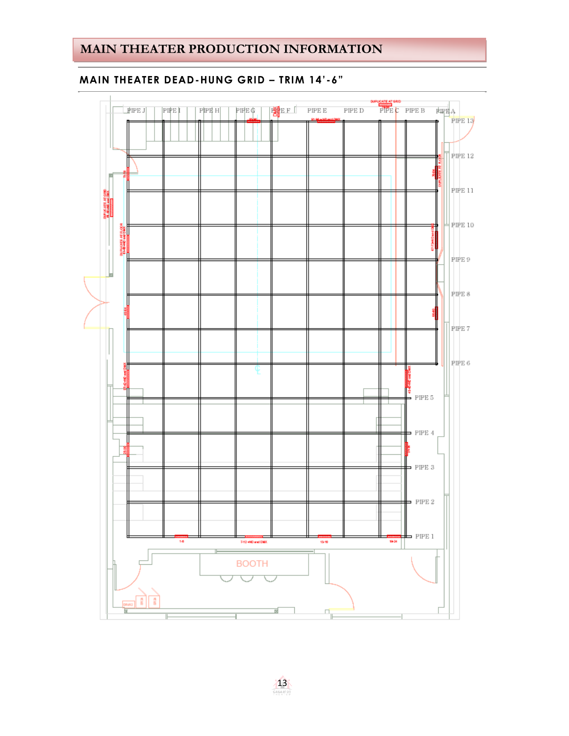## **EXTENT OND**<br>PIPE C PIPE B  $RHPAA$ **EE**E PIPEE  $\mathbb{P}\mathbb{H}\mathbb{E}\left(\!\!\left.\!\!\left.\!\!\right.\!\!\right.\!\!\!\!\!+\right)$ PIPE D  $|$  PIPE J PIPE I  $\ensuremath{\mathsf{P}}\xspace[\mathsf{P}\xspace\mathsf{B}\xspace\mathsf{H}]$ PIPE 13 **PIPE 12** PIPE 11 PICATE AT GRE  $\pm$  PIPE 10 뽥 PIPE 9 PIPE 8  $\Box$  PIPE 7 PIPE 6 E R  $PIPE5$  $-$  PIPE 4  $=$  PIPE 3  $=$  PIPE 2  $=$  PIPE 1  $\overline{u}$  $\frac{1}{15}$ 1934 7-12 +ND and DMX **BOOTH**  $\vert \cdot \vert$ -2  $\overline{\mathbb{F}_+}$ d

## **MAIN THEATER DEAD-HUNG GRID – TRIM 14'-6"**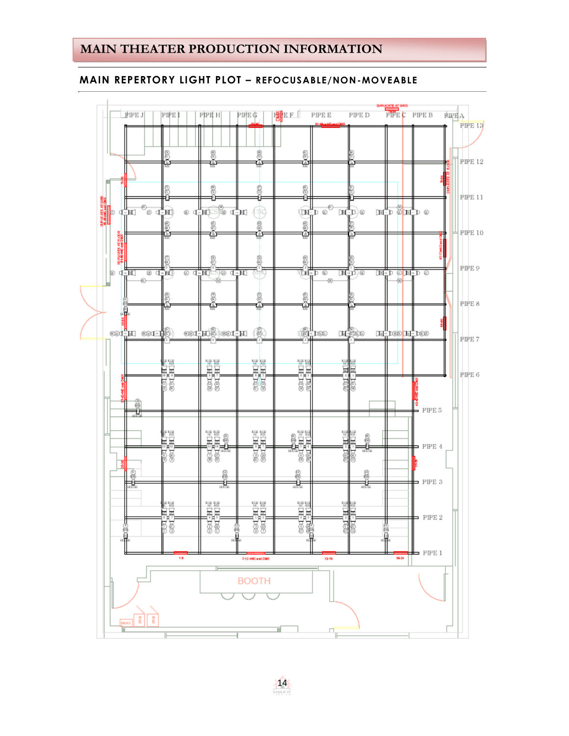#### **MAIN REPERTORY LIGHT PLOT – REFOCUSABLE/NON-MOVEABLE**

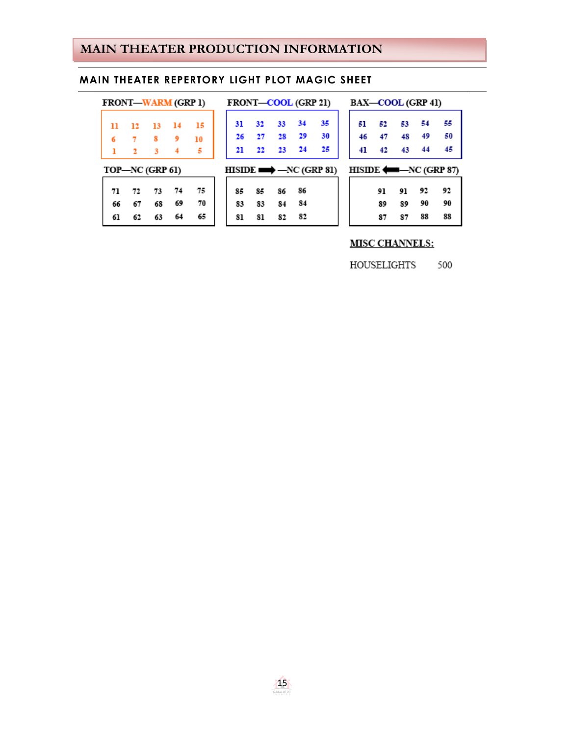#### **MAIN THEATER REPERTORY LIGHT PLOT MAGIC SHEET**

| <b>FRONT—WARM (GRP 1)</b> |    |    | FRONT-COOL (GRP 21) |    |    |    |    |                                       |
|---------------------------|----|----|---------------------|----|----|----|----|---------------------------------------|
| 12                        | 13 | 14 | 15                  | 31 | 32 | 33 | 34 | 35                                    |
|                           | 8  | 9  | 10                  | 26 | 27 | 28 | 29 | 30                                    |
| $\mathbf{2}$              | 3  | 4  | 5                   | 21 | 22 | 23 | 24 | 25                                    |
|                           |    |    |                     |    |    |    |    |                                       |
| 72                        | 73 | 74 | 75                  | 85 | 85 | 86 | 86 |                                       |
| 67                        | 68 | 69 | 70                  | 83 | 83 | 84 | 84 |                                       |
| 62                        | 63 | 64 | 65                  | 81 | 81 | 82 | 82 |                                       |
|                           |    |    | TOP-NC (GRP 61)     |    |    |    |    | $HISIDE \longrightarrow -NC (GRP 81)$ |

| )   | BAX-COOL (GRP 41)                    |    |     |    |    |
|-----|--------------------------------------|----|-----|----|----|
|     | 51                                   | 52 | 53  | 54 | 55 |
|     | 46                                   | 47 | -48 | 49 | 50 |
|     | 41                                   | 42 | 43  | 44 | 45 |
| 81) | $HISIDE \longleftarrow -NC (GRP 87)$ |    |     |    |    |
|     |                                      | 91 | 91  | 92 | 92 |
|     |                                      | 89 | 89  | 90 | 90 |
|     |                                      |    |     |    |    |

**MISC CHANNELS:** 

HOUSELIGHTS 500

87 87 88

88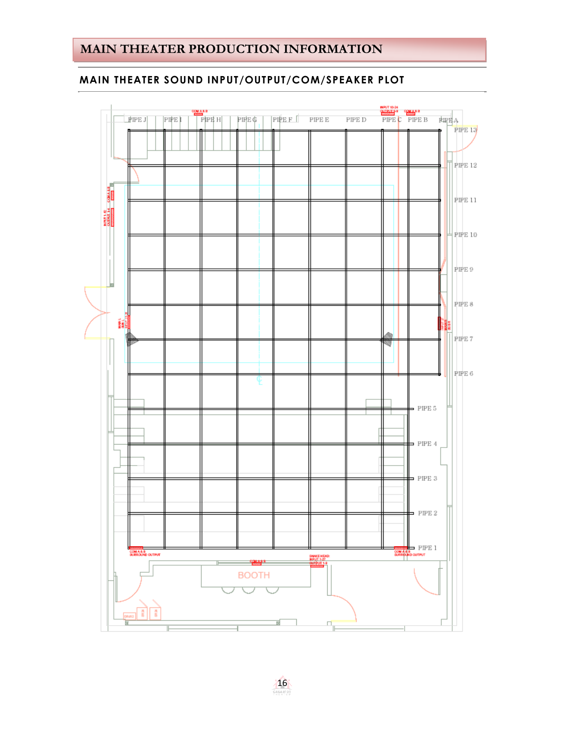## **MAIN THEATER SOUND INPUT/OUTPUT/COM/SPEAKER PLOT**



16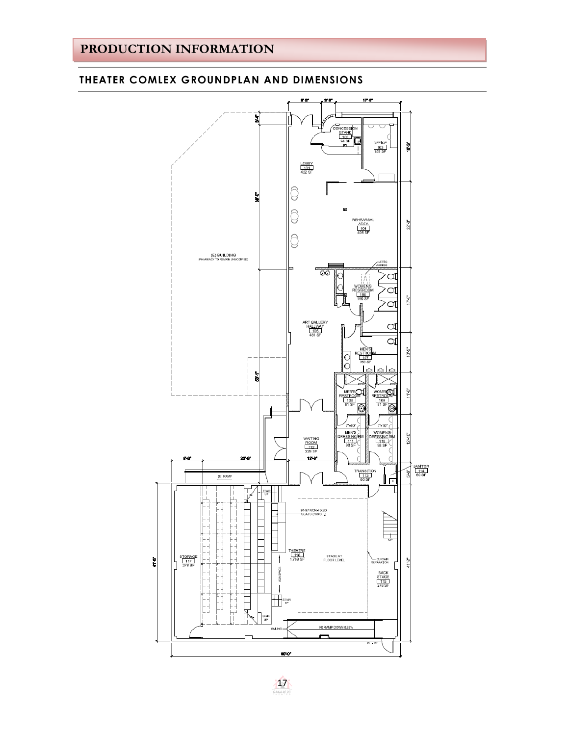#### $8 - 8$ <u>38</u>  $17-0^{\circ}$ 뉣 CONCESSION<br>
STAND<br>
MASF<br>
MASF<br>
D OFFICE<br>103<br>153 SF a<br>S LOBBY<br>101<br>432 SF 뉣 닣 A ∀ REHEARSAL  $22^{\circ}8^{\circ}$  $\frac{\overline{\text{AREA}}}{\frac{104}{408 \text{ SF}}}$ A 岀 (E) BUILDING<br>ARMACY TO REMAIN UNMODIFIED) anggala € a  $\circ$ q Ř Q ART GALLERY<br>HALLWAY<br>481 SF q СIJ i<br>10 **ESTRO**<br>107<br>169 SF  $\bigcirc$ Ō  $\frac{1}{8}$ MEN'SOL NOMERS<sub>1</sub>  $\frac{5}{2}$ RESTROC<br>109<br>81 SF  $\overline{\circ}$  $\overline{\circ}$ 7'-10"  $7 - 10''$ MEN'S<br>ESSING<br>08 SF VOMEN'S<br>ESSING RM WAITING<br>ROOM<br>112<br>226 SF  $12 - 10$ ESSING<br>110<br>98 SF  $12 - 6$ 22.6  $\frac{\frac{1}{114}}{\frac{114}{80.55}}$  $rac{1}{5}$  $\frac{TRANSITION}{113}$ ر<br>دا (E) RAMP  $\begin{array}{|c|c|c|}\n\hline\n\text{STAR} & \text{or} \\
\hline\n\text{UP} & \text{or} \\
\hline\n\end{array}$ ᅩ  $\frac{1}{1}$ 91-97 NON-FIXED<br>-SEATS (768 S.F.)  $\overline{\phantom{0}}$ 4  $\overline{\phantom{0}}$ H,  $\overline{\phantom{a}}$ 口 THEATRE<br>1.116<br>1,769 SF  $\frac{\text{STORAGE}}{\frac{117}{278 \text{ SF}}}$  $\mathbf{f}$ STAGE AT<br>FLOOR LEVEL ł CURTAIN<br>SEPARATION 41-2 - 4  $\frac{1}{\sqrt{2}}$ SPACE BACK<br>STAGE<br>115<br>278 SF ADA<sub>5</sub>  $\overline{\phantom{a}}$ E  $\mathbf{I}$ Ę **THE STAR**  $\overline{F}$ ب.<br>ب d STAIR<br>UP √∣ Π (N) RAMP DOWN 8.33 RALING - $EL - 23$ 80%

#### **THEATER COMLEX GROUNDPLAN AND DIMENSIONS**